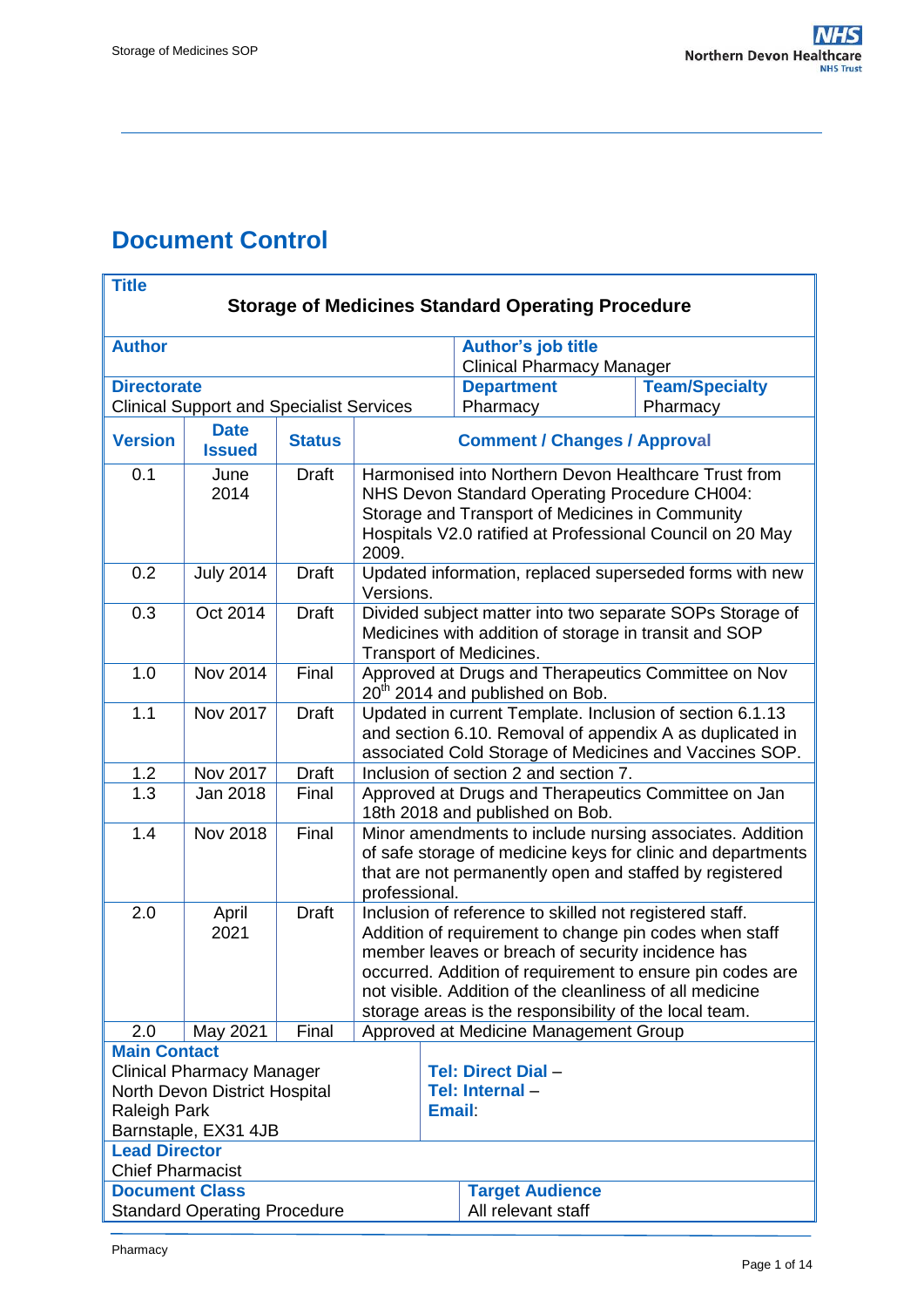# <span id="page-0-0"></span>**Document Control**

| <b>Title</b>                                                          |                              |               |                                                                                                                                                                        |                    |                                  |                                                          |  |  |  |
|-----------------------------------------------------------------------|------------------------------|---------------|------------------------------------------------------------------------------------------------------------------------------------------------------------------------|--------------------|----------------------------------|----------------------------------------------------------|--|--|--|
| <b>Storage of Medicines Standard Operating Procedure</b>              |                              |               |                                                                                                                                                                        |                    |                                  |                                                          |  |  |  |
| <b>Author</b>                                                         |                              |               |                                                                                                                                                                        |                    | <b>Author's job title</b>        |                                                          |  |  |  |
|                                                                       |                              |               |                                                                                                                                                                        |                    | <b>Clinical Pharmacy Manager</b> |                                                          |  |  |  |
| <b>Directorate</b><br><b>Clinical Support and Specialist Services</b> |                              |               |                                                                                                                                                                        |                    | <b>Department</b><br>Pharmacy    | <b>Team/Specialty</b><br>Pharmacy                        |  |  |  |
|                                                                       |                              |               |                                                                                                                                                                        |                    |                                  |                                                          |  |  |  |
| <b>Version</b>                                                        | <b>Date</b><br><b>Issued</b> | <b>Status</b> | <b>Comment / Changes / Approval</b>                                                                                                                                    |                    |                                  |                                                          |  |  |  |
| 0.1                                                                   | June                         | <b>Draft</b>  | Harmonised into Northern Devon Healthcare Trust from                                                                                                                   |                    |                                  |                                                          |  |  |  |
|                                                                       | 2014                         |               | NHS Devon Standard Operating Procedure CH004:                                                                                                                          |                    |                                  |                                                          |  |  |  |
|                                                                       |                              |               | Storage and Transport of Medicines in Community                                                                                                                        |                    |                                  |                                                          |  |  |  |
|                                                                       |                              |               | Hospitals V2.0 ratified at Professional Council on 20 May<br>2009.                                                                                                     |                    |                                  |                                                          |  |  |  |
| 0.2                                                                   | <b>July 2014</b>             | <b>Draft</b>  | Updated information, replaced superseded forms with new<br>Versions.                                                                                                   |                    |                                  |                                                          |  |  |  |
| 0.3                                                                   | Oct 2014                     | <b>Draft</b>  | Divided subject matter into two separate SOPs Storage of                                                                                                               |                    |                                  |                                                          |  |  |  |
|                                                                       |                              |               | Medicines with addition of storage in transit and SOP                                                                                                                  |                    |                                  |                                                          |  |  |  |
|                                                                       |                              |               | Transport of Medicines.                                                                                                                                                |                    |                                  |                                                          |  |  |  |
| 1.0                                                                   | Nov 2014                     | Final         | Approved at Drugs and Therapeutics Committee on Nov<br>20 <sup>th</sup> 2014 and published on Bob.                                                                     |                    |                                  |                                                          |  |  |  |
| 1.1                                                                   | Nov 2017                     | <b>Draft</b>  |                                                                                                                                                                        |                    |                                  | Updated in current Template. Inclusion of section 6.1.13 |  |  |  |
|                                                                       |                              |               |                                                                                                                                                                        |                    |                                  | and section 6.10. Removal of appendix A as duplicated in |  |  |  |
|                                                                       |                              |               | associated Cold Storage of Medicines and Vaccines SOP.                                                                                                                 |                    |                                  |                                                          |  |  |  |
| 1.2                                                                   | Nov 2017                     | <b>Draft</b>  | Inclusion of section 2 and section 7.                                                                                                                                  |                    |                                  |                                                          |  |  |  |
| 1.3                                                                   | Jan 2018                     | Final         | Approved at Drugs and Therapeutics Committee on Jan<br>18th 2018 and published on Bob.                                                                                 |                    |                                  |                                                          |  |  |  |
| 1.4                                                                   | <b>Nov 2018</b>              | Final         | Minor amendments to include nursing associates. Addition                                                                                                               |                    |                                  |                                                          |  |  |  |
|                                                                       |                              |               | of safe storage of medicine keys for clinic and departments                                                                                                            |                    |                                  |                                                          |  |  |  |
|                                                                       |                              |               | that are not permanently open and staffed by registered                                                                                                                |                    |                                  |                                                          |  |  |  |
|                                                                       |                              |               | professional.                                                                                                                                                          |                    |                                  |                                                          |  |  |  |
| 2.0                                                                   | April<br>2021                | <b>Draft</b>  | Inclusion of reference to skilled not registered staff.<br>Addition of requirement to change pin codes when staff<br>member leaves or breach of security incidence has |                    |                                  |                                                          |  |  |  |
|                                                                       |                              |               |                                                                                                                                                                        |                    |                                  |                                                          |  |  |  |
|                                                                       |                              |               | occurred. Addition of requirement to ensure pin codes are                                                                                                              |                    |                                  |                                                          |  |  |  |
|                                                                       |                              |               | not visible. Addition of the cleanliness of all medicine                                                                                                               |                    |                                  |                                                          |  |  |  |
|                                                                       |                              |               |                                                                                                                                                                        |                    |                                  | storage areas is the responsibility of the local team.   |  |  |  |
| 2.0                                                                   | May 2021                     | Final         | Approved at Medicine Management Group                                                                                                                                  |                    |                                  |                                                          |  |  |  |
| <b>Main Contact</b>                                                   |                              |               |                                                                                                                                                                        |                    |                                  |                                                          |  |  |  |
| <b>Clinical Pharmacy Manager</b>                                      |                              |               |                                                                                                                                                                        | Tel: Direct Dial - |                                  |                                                          |  |  |  |
| North Devon District Hospital                                         |                              |               |                                                                                                                                                                        |                    | Tel: Internal-                   |                                                          |  |  |  |
| <b>Raleigh Park</b><br><b>Email:</b>                                  |                              |               |                                                                                                                                                                        |                    |                                  |                                                          |  |  |  |
| Barnstaple, EX31 4JB                                                  |                              |               |                                                                                                                                                                        |                    |                                  |                                                          |  |  |  |
| <b>Lead Director</b><br><b>Chief Pharmacist</b>                       |                              |               |                                                                                                                                                                        |                    |                                  |                                                          |  |  |  |
| <b>Document Class</b>                                                 |                              |               | <b>Target Audience</b>                                                                                                                                                 |                    |                                  |                                                          |  |  |  |
| <b>Standard Operating Procedure</b>                                   |                              |               |                                                                                                                                                                        |                    | All relevant staff               |                                                          |  |  |  |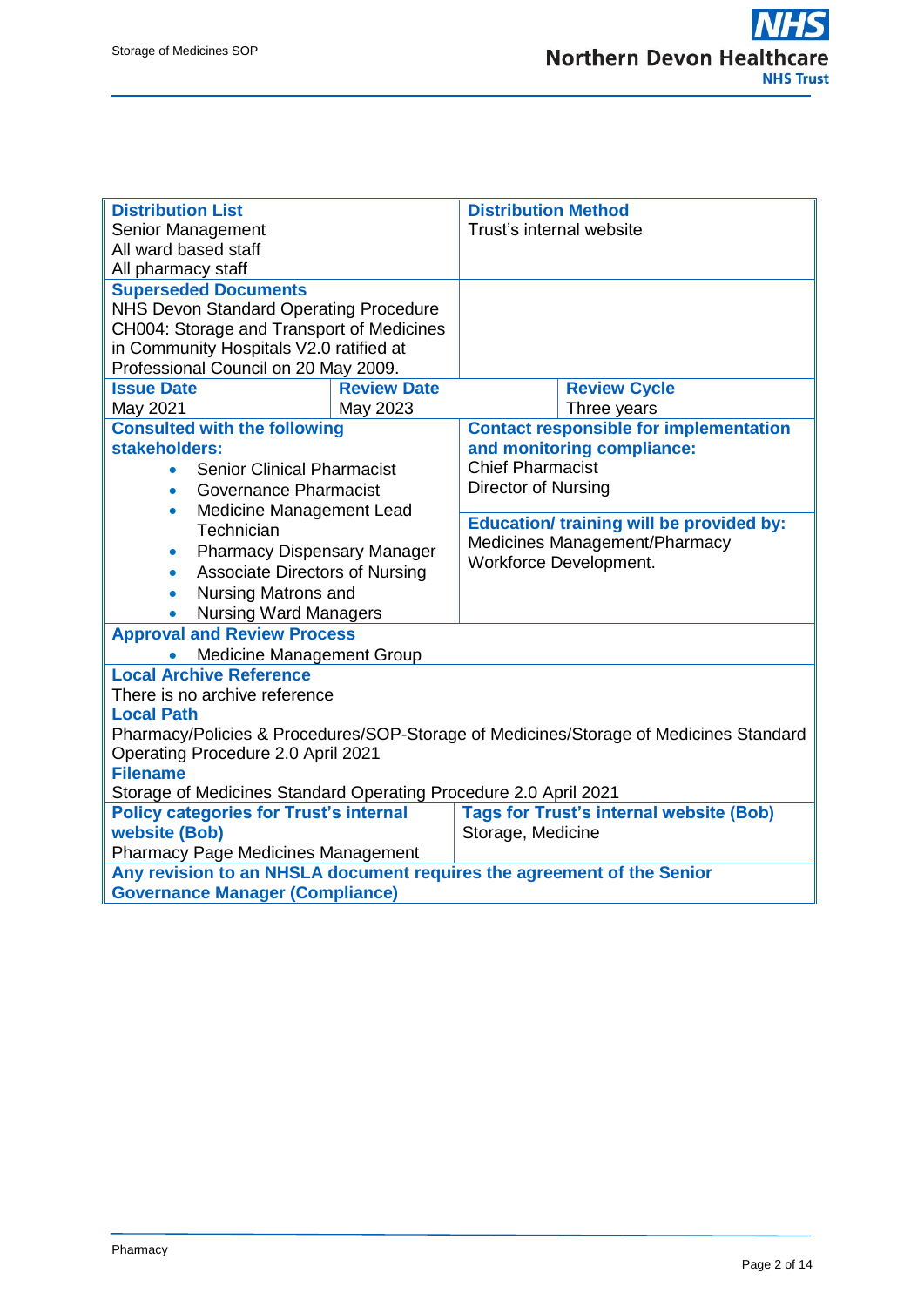| <b>Distribution List</b>                                                                                         |                    | <b>Distribution Method</b>                                                                                 |                     |  |  |  |
|------------------------------------------------------------------------------------------------------------------|--------------------|------------------------------------------------------------------------------------------------------------|---------------------|--|--|--|
| Senior Management                                                                                                |                    | Trust's internal website                                                                                   |                     |  |  |  |
| All ward based staff                                                                                             |                    |                                                                                                            |                     |  |  |  |
| All pharmacy staff                                                                                               |                    |                                                                                                            |                     |  |  |  |
| <b>Superseded Documents</b>                                                                                      |                    |                                                                                                            |                     |  |  |  |
| NHS Devon Standard Operating Procedure                                                                           |                    |                                                                                                            |                     |  |  |  |
| CH004: Storage and Transport of Medicines                                                                        |                    |                                                                                                            |                     |  |  |  |
| in Community Hospitals V2.0 ratified at<br>Professional Council on 20 May 2009.                                  |                    |                                                                                                            |                     |  |  |  |
| <b>Issue Date</b>                                                                                                | <b>Review Date</b> |                                                                                                            | <b>Review Cycle</b> |  |  |  |
| May 2021                                                                                                         | May 2023           |                                                                                                            | Three years         |  |  |  |
| <b>Consulted with the following</b>                                                                              |                    | <b>Contact responsible for implementation</b>                                                              |                     |  |  |  |
| stakeholders:                                                                                                    |                    | and monitoring compliance:                                                                                 |                     |  |  |  |
| <b>Senior Clinical Pharmacist</b><br>$\bullet$                                                                   |                    | <b>Chief Pharmacist</b>                                                                                    |                     |  |  |  |
| <b>Governance Pharmacist</b><br>$\bullet$                                                                        |                    | <b>Director of Nursing</b>                                                                                 |                     |  |  |  |
| Medicine Management Lead<br>$\bullet$                                                                            |                    |                                                                                                            |                     |  |  |  |
| Technician                                                                                                       |                    | <b>Education/ training will be provided by:</b><br>Medicines Management/Pharmacy<br>Workforce Development. |                     |  |  |  |
| <b>Pharmacy Dispensary Manager</b><br>$\bullet$                                                                  |                    |                                                                                                            |                     |  |  |  |
| <b>Associate Directors of Nursing</b><br>$\bullet$                                                               |                    |                                                                                                            |                     |  |  |  |
| Nursing Matrons and<br>$\bullet$                                                                                 |                    |                                                                                                            |                     |  |  |  |
| <b>Nursing Ward Managers</b><br>$\bullet$                                                                        |                    |                                                                                                            |                     |  |  |  |
| <b>Approval and Review Process</b>                                                                               |                    |                                                                                                            |                     |  |  |  |
| <b>Medicine Management Group</b>                                                                                 |                    |                                                                                                            |                     |  |  |  |
| <b>Local Archive Reference</b>                                                                                   |                    |                                                                                                            |                     |  |  |  |
| There is no archive reference                                                                                    |                    |                                                                                                            |                     |  |  |  |
| <b>Local Path</b>                                                                                                |                    |                                                                                                            |                     |  |  |  |
|                                                                                                                  |                    | Pharmacy/Policies & Procedures/SOP-Storage of Medicines/Storage of Medicines Standard                      |                     |  |  |  |
| Operating Procedure 2.0 April 2021                                                                               |                    |                                                                                                            |                     |  |  |  |
| <b>Filename</b>                                                                                                  |                    |                                                                                                            |                     |  |  |  |
| Storage of Medicines Standard Operating Procedure 2.0 April 2021                                                 |                    |                                                                                                            |                     |  |  |  |
| <b>Policy categories for Trust's internal</b>                                                                    |                    | <b>Tags for Trust's internal website (Bob)</b>                                                             |                     |  |  |  |
| website (Bob)                                                                                                    |                    | Storage, Medicine                                                                                          |                     |  |  |  |
| <b>Pharmacy Page Medicines Management</b>                                                                        |                    |                                                                                                            |                     |  |  |  |
| Any revision to an NHSLA document requires the agreement of the Senior<br><b>Governance Manager (Compliance)</b> |                    |                                                                                                            |                     |  |  |  |
|                                                                                                                  |                    |                                                                                                            |                     |  |  |  |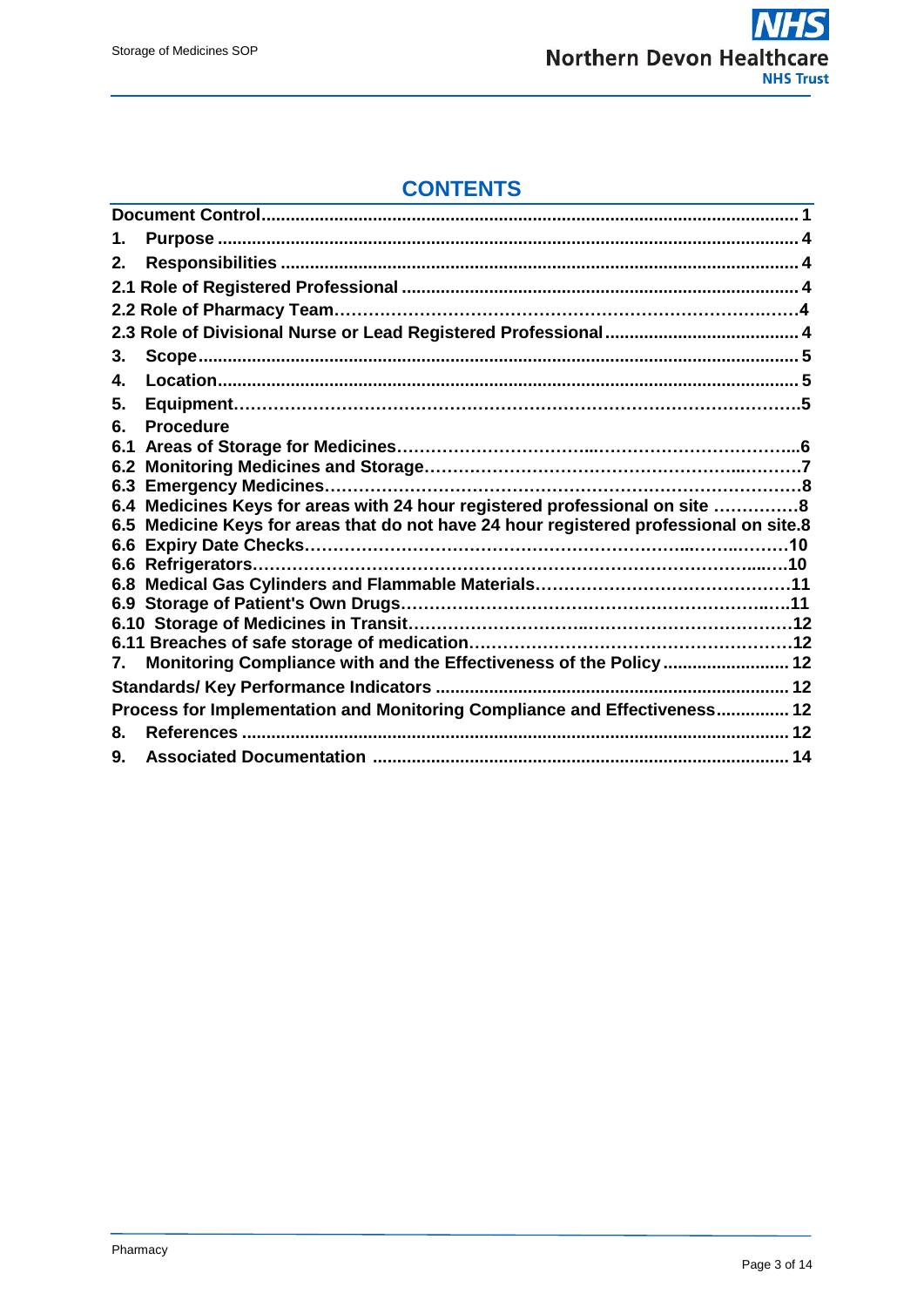

# **CONTENTS**

| 1.  |                                                                                        |  |  |  |  |
|-----|----------------------------------------------------------------------------------------|--|--|--|--|
| 2.  |                                                                                        |  |  |  |  |
|     |                                                                                        |  |  |  |  |
|     |                                                                                        |  |  |  |  |
|     |                                                                                        |  |  |  |  |
| 3.  |                                                                                        |  |  |  |  |
| 4.  |                                                                                        |  |  |  |  |
| 5.  |                                                                                        |  |  |  |  |
| 6.  | <b>Procedure</b>                                                                       |  |  |  |  |
| 6.1 |                                                                                        |  |  |  |  |
| 6.2 |                                                                                        |  |  |  |  |
|     |                                                                                        |  |  |  |  |
|     | 6.4 Medicines Keys for areas with 24 hour registered professional on site 8            |  |  |  |  |
|     | 6.5 Medicine Keys for areas that do not have 24 hour registered professional on site.8 |  |  |  |  |
|     |                                                                                        |  |  |  |  |
|     |                                                                                        |  |  |  |  |
|     |                                                                                        |  |  |  |  |
|     |                                                                                        |  |  |  |  |
|     |                                                                                        |  |  |  |  |
| 7.  | Monitoring Compliance with and the Effectiveness of the Policy  12                     |  |  |  |  |
|     |                                                                                        |  |  |  |  |
|     | Process for Implementation and Monitoring Compliance and Effectiveness 12              |  |  |  |  |
| 8.  |                                                                                        |  |  |  |  |
| 9.  |                                                                                        |  |  |  |  |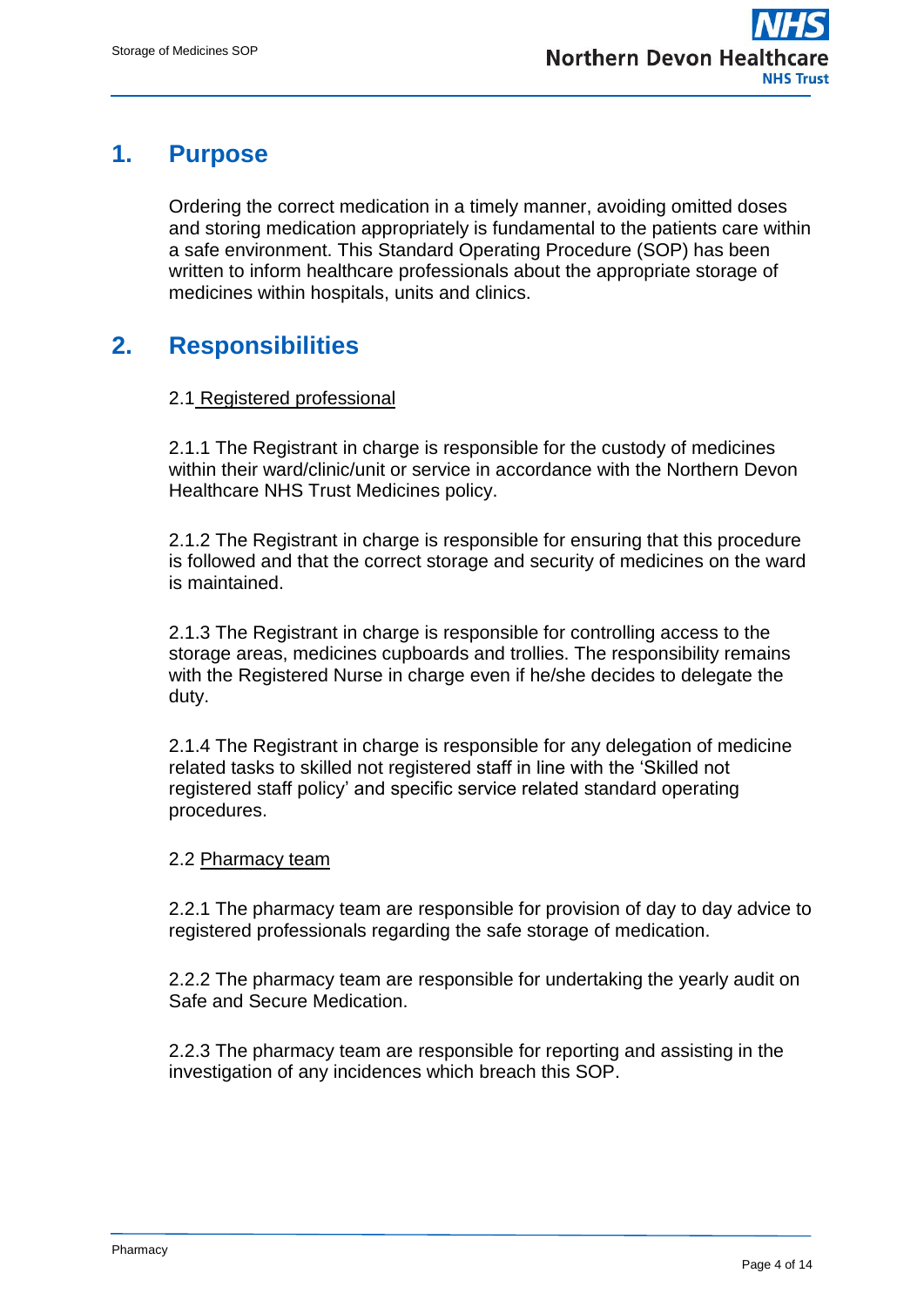# <span id="page-3-0"></span>**1. Purpose**

Ordering the correct medication in a timely manner, avoiding omitted doses and storing medication appropriately is fundamental to the patients care within a safe environment. This Standard Operating Procedure (SOP) has been written to inform healthcare professionals about the appropriate storage of medicines within hospitals, units and clinics.

# **2. Responsibilities**

### 2.1 Registered professional

2.1.1 The Registrant in charge is responsible for the custody of medicines within their ward/clinic/unit or service in accordance with the Northern Devon Healthcare NHS Trust Medicines policy.

2.1.2 The Registrant in charge is responsible for ensuring that this procedure is followed and that the correct storage and security of medicines on the ward is maintained.

2.1.3 The Registrant in charge is responsible for controlling access to the storage areas, medicines cupboards and trollies. The responsibility remains with the Registered Nurse in charge even if he/she decides to delegate the duty.

2.1.4 The Registrant in charge is responsible for any delegation of medicine related tasks to skilled not registered staff in line with the 'Skilled not registered staff policy' and specific service related standard operating procedures.

#### 2.2 Pharmacy team

2.2.1 The pharmacy team are responsible for provision of day to day advice to registered professionals regarding the safe storage of medication.

2.2.2 The pharmacy team are responsible for undertaking the yearly audit on Safe and Secure Medication.

2.2.3 The pharmacy team are responsible for reporting and assisting in the investigation of any incidences which breach this SOP.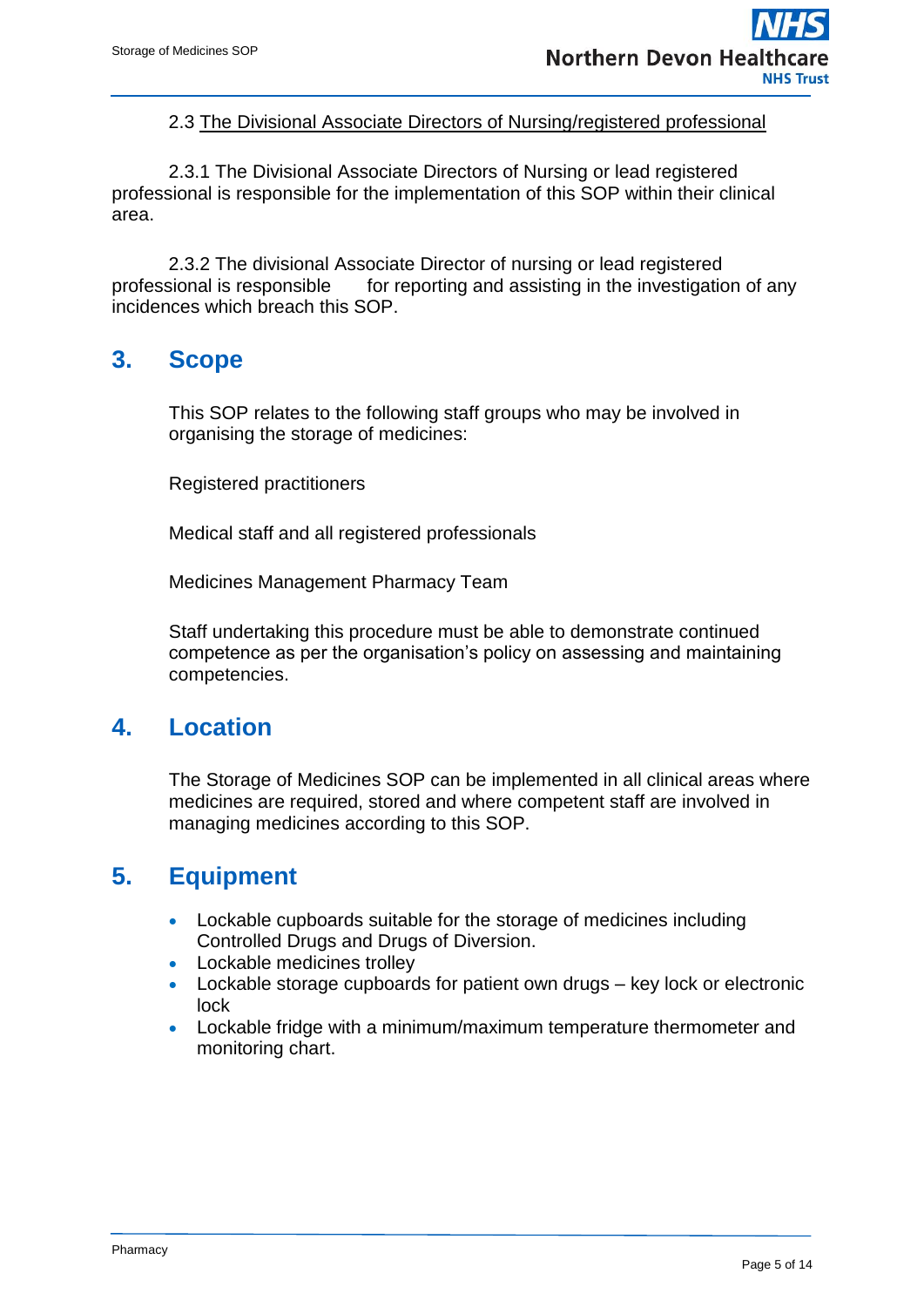#### 2.3 The Divisional Associate Directors of Nursing/registered professional

 2.3.1 The Divisional Associate Directors of Nursing or lead registered professional is responsible for the implementation of this SOP within their clinical area.

2.3.2 The divisional Associate Director of nursing or lead registered professional is responsible for reporting and assisting in the investigation of any incidences which breach this SOP.

## **3. Scope**

This SOP relates to the following staff groups who may be involved in organising the storage of medicines:

Registered practitioners

Medical staff and all registered professionals

Medicines Management Pharmacy Team

Staff undertaking this procedure must be able to demonstrate continued competence as per the organisation's policy on assessing and maintaining competencies.

## <span id="page-4-0"></span>**4. Location**

The Storage of Medicines SOP can be implemented in all clinical areas where medicines are required, stored and where competent staff are involved in managing medicines according to this SOP.

## **5. Equipment**

- Lockable cupboards suitable for the storage of medicines including Controlled Drugs and Drugs of Diversion.
- Lockable medicines trolley
- Lockable storage cupboards for patient own drugs key lock or electronic lock
- Lockable fridge with a minimum/maximum temperature thermometer and monitoring chart.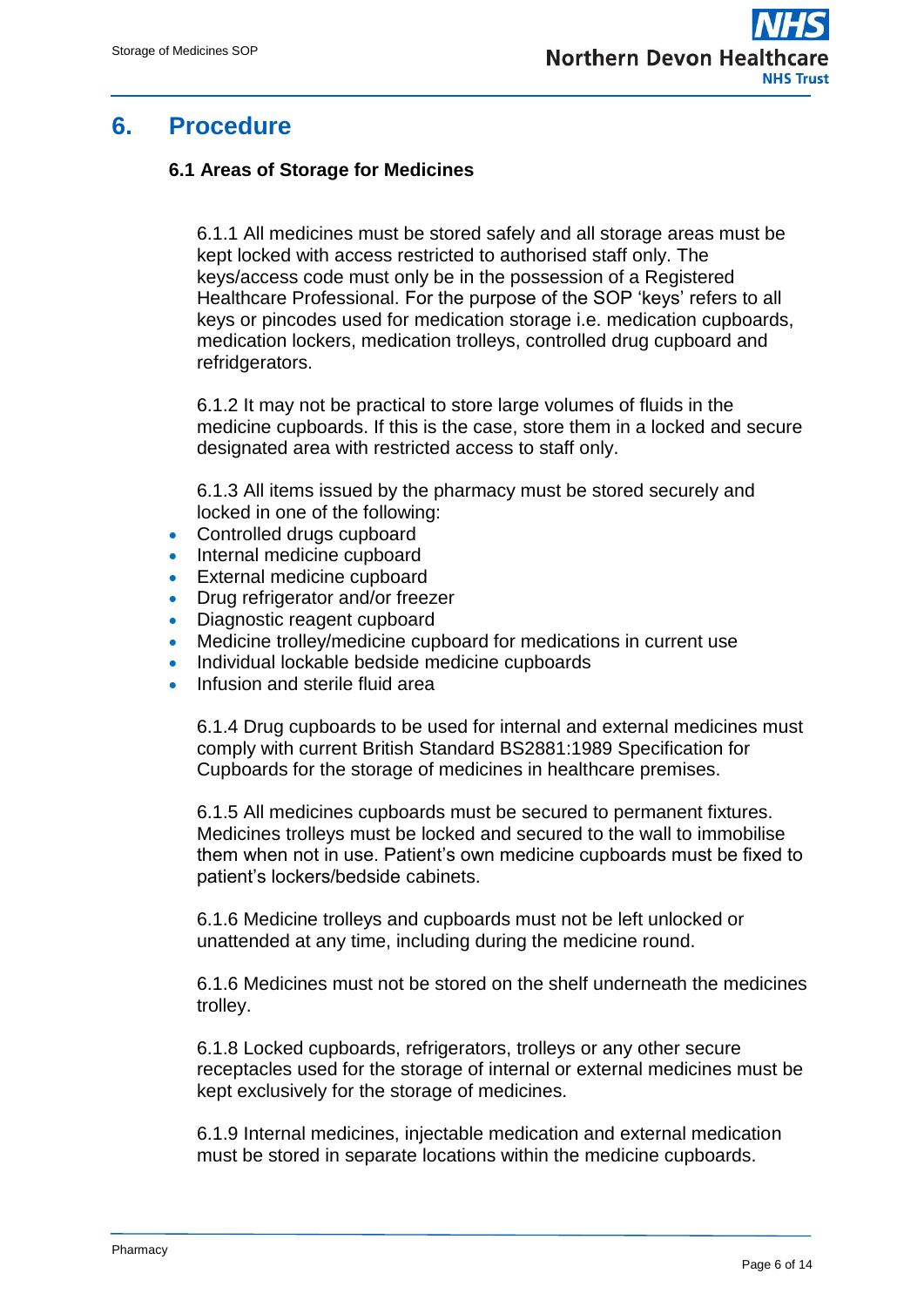## **6. Procedure**

### **6.1 Areas of Storage for Medicines**

6.1.1 All medicines must be stored safely and all storage areas must be kept locked with access restricted to authorised staff only. The keys/access code must only be in the possession of a Registered Healthcare Professional. For the purpose of the SOP 'keys' refers to all keys or pincodes used for medication storage i.e. medication cupboards, medication lockers, medication trolleys, controlled drug cupboard and refridgerators.

6.1.2 It may not be practical to store large volumes of fluids in the medicine cupboards. If this is the case, store them in a locked and secure designated area with restricted access to staff only.

6.1.3 All items issued by the pharmacy must be stored securely and locked in one of the following:

- Controlled drugs cupboard
- Internal medicine cupboard
- **External medicine cupboard**
- Drug refrigerator and/or freezer
- Diagnostic reagent cupboard
- Medicine trolley/medicine cupboard for medications in current use
- Individual lockable bedside medicine cupboards
- Infusion and sterile fluid area

6.1.4 Drug cupboards to be used for internal and external medicines must comply with current British Standard BS2881:1989 Specification for Cupboards for the storage of medicines in healthcare premises.

6.1.5 All medicines cupboards must be secured to permanent fixtures. Medicines trolleys must be locked and secured to the wall to immobilise them when not in use. Patient's own medicine cupboards must be fixed to patient's lockers/bedside cabinets.

6.1.6 Medicine trolleys and cupboards must not be left unlocked or unattended at any time, including during the medicine round.

6.1.6 Medicines must not be stored on the shelf underneath the medicines trolley.

6.1.8 Locked cupboards, refrigerators, trolleys or any other secure receptacles used for the storage of internal or external medicines must be kept exclusively for the storage of medicines.

6.1.9 Internal medicines, injectable medication and external medication must be stored in separate locations within the medicine cupboards.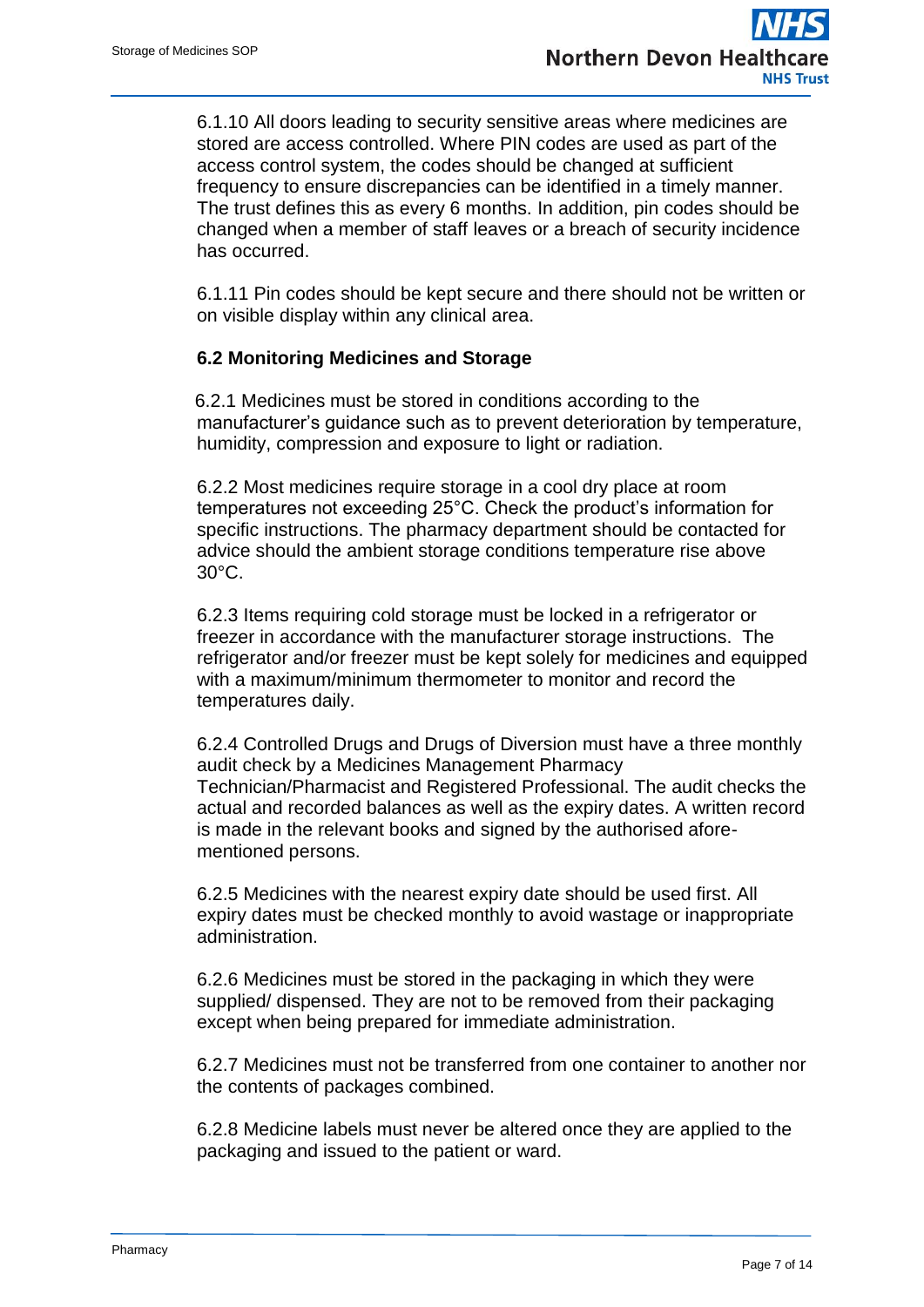6.1.10 All doors leading to security sensitive areas where medicines are stored are access controlled. Where PIN codes are used as part of the access control system, the codes should be changed at sufficient frequency to ensure discrepancies can be identified in a timely manner. The trust defines this as every 6 months. In addition, pin codes should be changed when a member of staff leaves or a breach of security incidence has occurred.

6.1.11 Pin codes should be kept secure and there should not be written or on visible display within any clinical area.

#### **6.2 Monitoring Medicines and Storage**

 6.2.1 Medicines must be stored in conditions according to the manufacturer's guidance such as to prevent deterioration by temperature, humidity, compression and exposure to light or radiation.

6.2.2 Most medicines require storage in a cool dry place at room temperatures not exceeding 25°C. Check the product's information for specific instructions. The pharmacy department should be contacted for advice should the ambient storage conditions temperature rise above 30°C.

6.2.3 Items requiring cold storage must be locked in a refrigerator or freezer in accordance with the manufacturer storage instructions. The refrigerator and/or freezer must be kept solely for medicines and equipped with a maximum/minimum thermometer to monitor and record the temperatures daily.

6.2.4 Controlled Drugs and Drugs of Diversion must have a three monthly audit check by a Medicines Management Pharmacy Technician/Pharmacist and Registered Professional. The audit checks the actual and recorded balances as well as the expiry dates. A written record is made in the relevant books and signed by the authorised aforementioned persons.

6.2.5 Medicines with the nearest expiry date should be used first. All expiry dates must be checked monthly to avoid wastage or inappropriate administration.

6.2.6 Medicines must be stored in the packaging in which they were supplied/ dispensed. They are not to be removed from their packaging except when being prepared for immediate administration.

6.2.7 Medicines must not be transferred from one container to another nor the contents of packages combined.

6.2.8 Medicine labels must never be altered once they are applied to the packaging and issued to the patient or ward.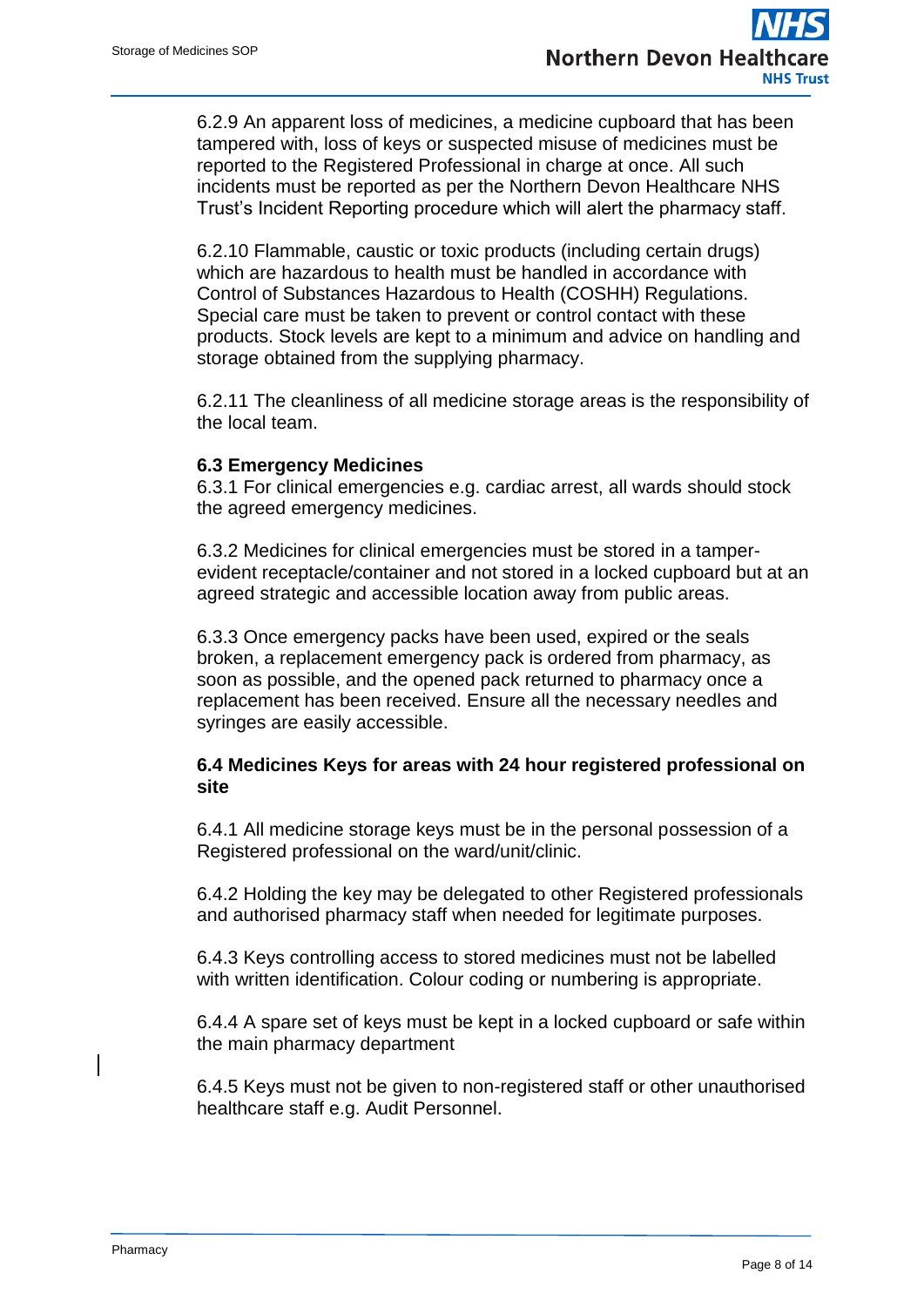6.2.9 An apparent loss of medicines, a medicine cupboard that has been tampered with, loss of keys or suspected misuse of medicines must be reported to the Registered Professional in charge at once. All such incidents must be reported as per the Northern Devon Healthcare NHS Trust's Incident Reporting procedure which will alert the pharmacy staff.

6.2.10 Flammable, caustic or toxic products (including certain drugs) which are hazardous to health must be handled in accordance with Control of Substances Hazardous to Health (COSHH) Regulations. Special care must be taken to prevent or control contact with these products. Stock levels are kept to a minimum and advice on handling and storage obtained from the supplying pharmacy.

6.2.11 The cleanliness of all medicine storage areas is the responsibility of the local team.

#### **6.3 Emergency Medicines**

6.3.1 For clinical emergencies e.g. cardiac arrest, all wards should stock the agreed emergency medicines.

6.3.2 Medicines for clinical emergencies must be stored in a tamperevident receptacle/container and not stored in a locked cupboard but at an agreed strategic and accessible location away from public areas.

6.3.3 Once emergency packs have been used, expired or the seals broken, a replacement emergency pack is ordered from pharmacy, as soon as possible, and the opened pack returned to pharmacy once a replacement has been received. Ensure all the necessary needles and syringes are easily accessible.

#### **6.4 Medicines Keys for areas with 24 hour registered professional on site**

6.4.1 All medicine storage keys must be in the personal possession of a Registered professional on the ward/unit/clinic.

6.4.2 Holding the key may be delegated to other Registered professionals and authorised pharmacy staff when needed for legitimate purposes.

6.4.3 Keys controlling access to stored medicines must not be labelled with written identification. Colour coding or numbering is appropriate.

6.4.4 A spare set of keys must be kept in a locked cupboard or safe within the main pharmacy department

6.4.5 Keys must not be given to non-registered staff or other unauthorised healthcare staff e.g. Audit Personnel.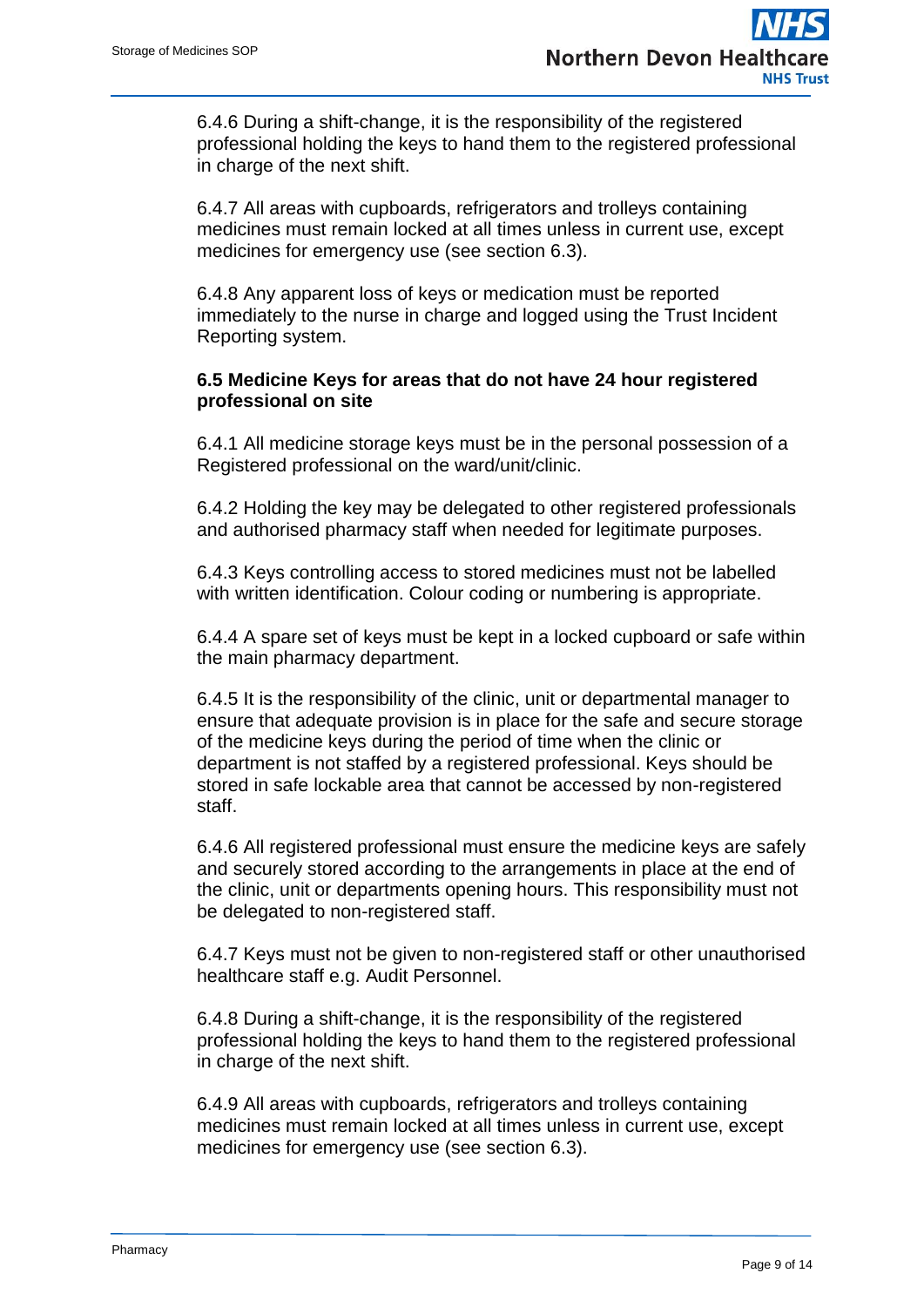6.4.6 During a shift-change, it is the responsibility of the registered professional holding the keys to hand them to the registered professional in charge of the next shift.

6.4.7 All areas with cupboards, refrigerators and trolleys containing medicines must remain locked at all times unless in current use, except medicines for emergency use (see section 6.3).

6.4.8 Any apparent loss of keys or medication must be reported immediately to the nurse in charge and logged using the Trust Incident Reporting system.

#### **6.5 Medicine Keys for areas that do not have 24 hour registered professional on site**

6.4.1 All medicine storage keys must be in the personal possession of a Registered professional on the ward/unit/clinic.

6.4.2 Holding the key may be delegated to other registered professionals and authorised pharmacy staff when needed for legitimate purposes.

6.4.3 Keys controlling access to stored medicines must not be labelled with written identification. Colour coding or numbering is appropriate.

6.4.4 A spare set of keys must be kept in a locked cupboard or safe within the main pharmacy department.

6.4.5 It is the responsibility of the clinic, unit or departmental manager to ensure that adequate provision is in place for the safe and secure storage of the medicine keys during the period of time when the clinic or department is not staffed by a registered professional. Keys should be stored in safe lockable area that cannot be accessed by non-registered staff.

6.4.6 All registered professional must ensure the medicine keys are safely and securely stored according to the arrangements in place at the end of the clinic, unit or departments opening hours. This responsibility must not be delegated to non-registered staff.

6.4.7 Keys must not be given to non-registered staff or other unauthorised healthcare staff e.g. Audit Personnel.

6.4.8 During a shift-change, it is the responsibility of the registered professional holding the keys to hand them to the registered professional in charge of the next shift.

6.4.9 All areas with cupboards, refrigerators and trolleys containing medicines must remain locked at all times unless in current use, except medicines for emergency use (see section 6.3).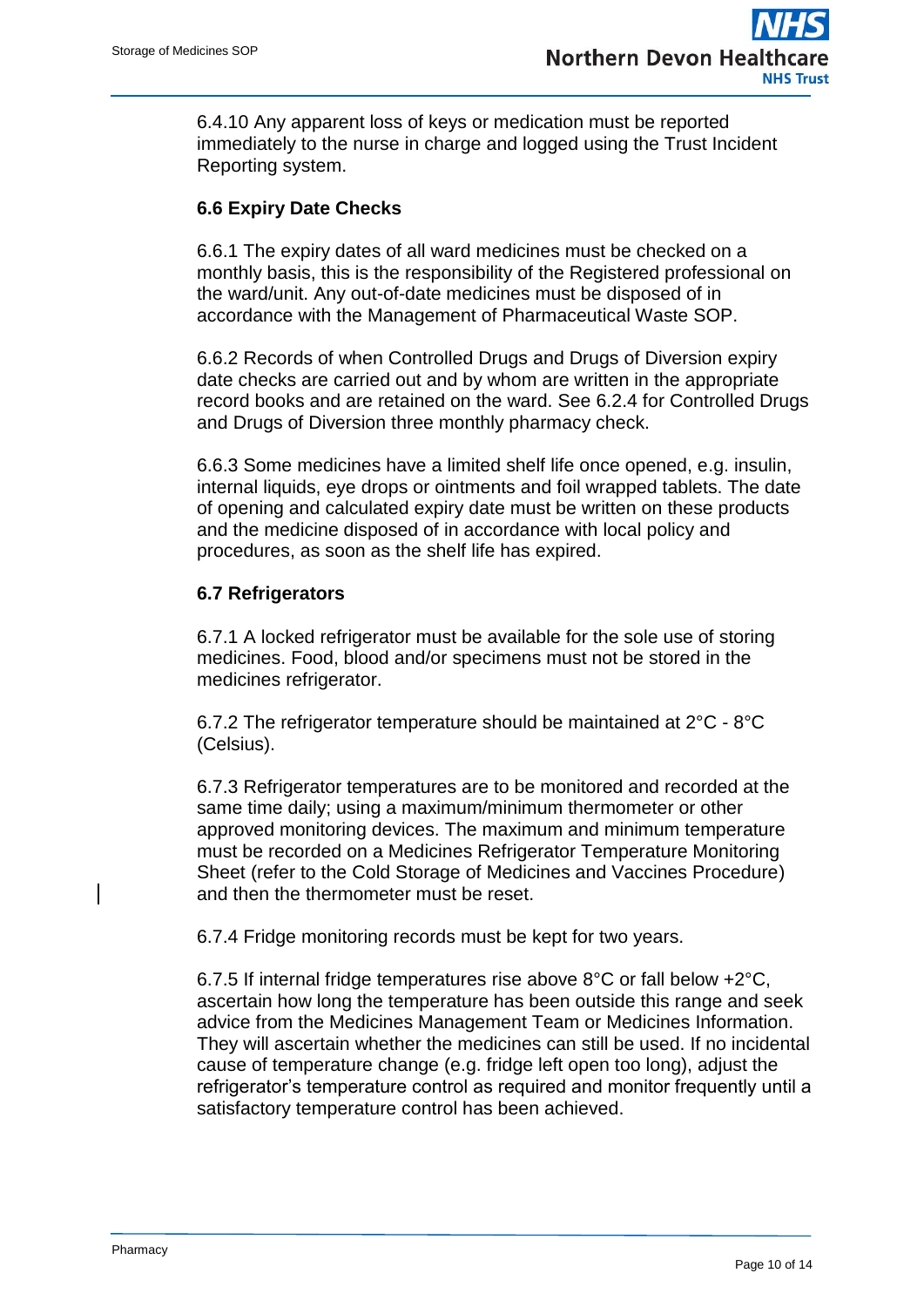6.4.10 Any apparent loss of keys or medication must be reported immediately to the nurse in charge and logged using the Trust Incident Reporting system.

### **6.6 Expiry Date Checks**

6.6.1 The expiry dates of all ward medicines must be checked on a monthly basis, this is the responsibility of the Registered professional on the ward/unit. Any out-of-date medicines must be disposed of in accordance with the Management of Pharmaceutical Waste SOP.

6.6.2 Records of when Controlled Drugs and Drugs of Diversion expiry date checks are carried out and by whom are written in the appropriate record books and are retained on the ward. See 6.2.4 for Controlled Drugs and Drugs of Diversion three monthly pharmacy check.

6.6.3 Some medicines have a limited shelf life once opened, e.g. insulin, internal liquids, eye drops or ointments and foil wrapped tablets. The date of opening and calculated expiry date must be written on these products and the medicine disposed of in accordance with local policy and procedures, as soon as the shelf life has expired.

#### **6.7 Refrigerators**

6.7.1 A locked refrigerator must be available for the sole use of storing medicines. Food, blood and/or specimens must not be stored in the medicines refrigerator.

6.7.2 The refrigerator temperature should be maintained at 2°C - 8°C (Celsius).

6.7.3 Refrigerator temperatures are to be monitored and recorded at the same time daily; using a maximum/minimum thermometer or other approved monitoring devices. The maximum and minimum temperature must be recorded on a Medicines Refrigerator Temperature Monitoring Sheet (refer to the Cold Storage of Medicines and Vaccines Procedure) and then the thermometer must be reset.

6.7.4 Fridge monitoring records must be kept for two years.

6.7.5 If internal fridge temperatures rise above 8°C or fall below +2°C, ascertain how long the temperature has been outside this range and seek advice from the Medicines Management Team or Medicines Information. They will ascertain whether the medicines can still be used. If no incidental cause of temperature change (e.g. fridge left open too long), adjust the refrigerator's temperature control as required and monitor frequently until a satisfactory temperature control has been achieved.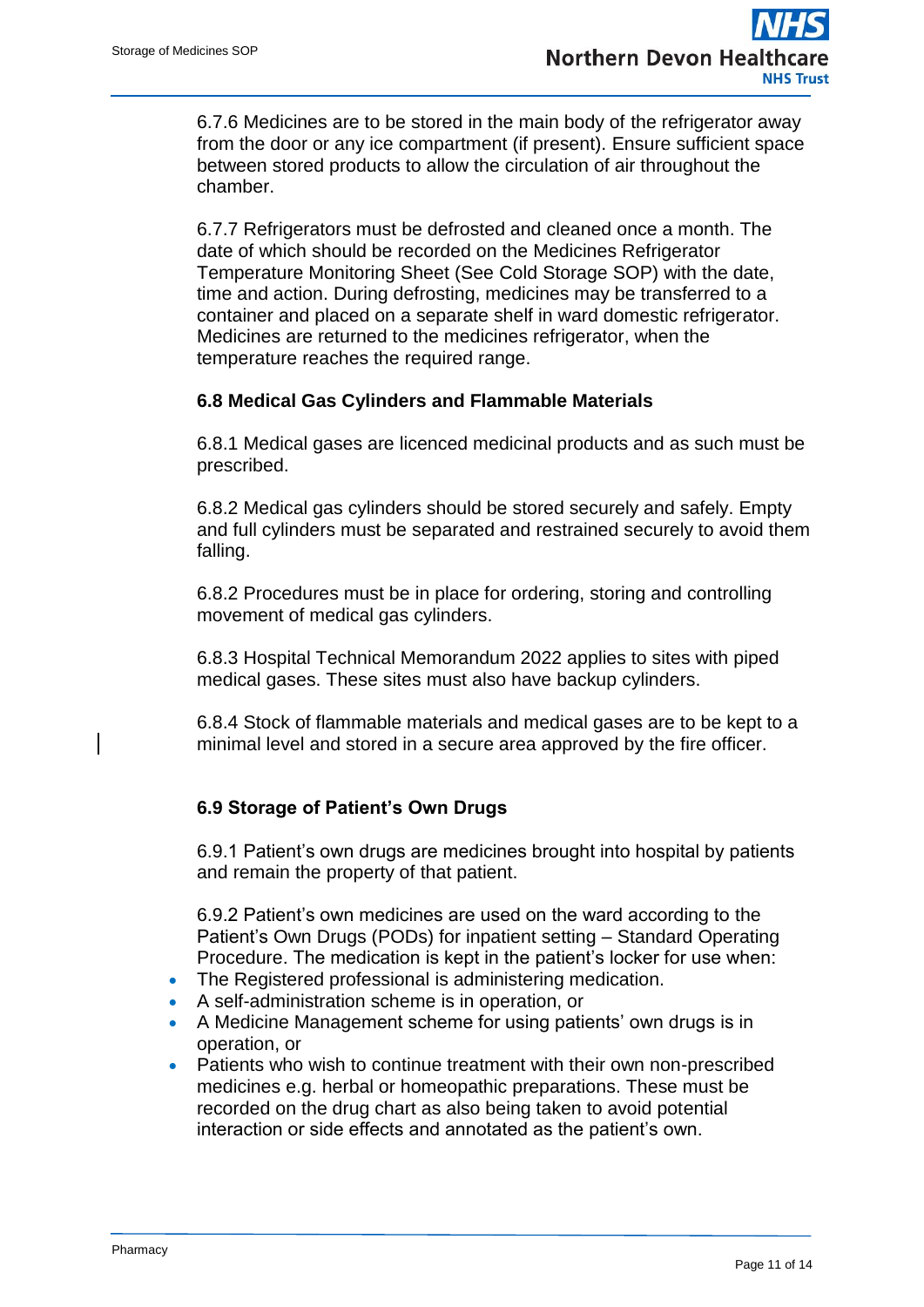6.7.6 Medicines are to be stored in the main body of the refrigerator away from the door or any ice compartment (if present). Ensure sufficient space between stored products to allow the circulation of air throughout the chamber.

6.7.7 Refrigerators must be defrosted and cleaned once a month. The date of which should be recorded on the Medicines Refrigerator Temperature Monitoring Sheet (See Cold Storage SOP) with the date, time and action. During defrosting, medicines may be transferred to a container and placed on a separate shelf in ward domestic refrigerator. Medicines are returned to the medicines refrigerator, when the temperature reaches the required range.

#### **6.8 Medical Gas Cylinders and Flammable Materials**

6.8.1 Medical gases are licenced medicinal products and as such must be prescribed.

6.8.2 Medical gas cylinders should be stored securely and safely. Empty and full cylinders must be separated and restrained securely to avoid them falling.

6.8.2 Procedures must be in place for ordering, storing and controlling movement of medical gas cylinders.

6.8.3 Hospital Technical Memorandum 2022 applies to sites with piped medical gases. These sites must also have backup cylinders.

6.8.4 Stock of flammable materials and medical gases are to be kept to a minimal level and stored in a secure area approved by the fire officer.

### **6.9 Storage of Patient's Own Drugs**

6.9.1 Patient's own drugs are medicines brought into hospital by patients and remain the property of that patient.

6.9.2 Patient's own medicines are used on the ward according to the Patient's Own Drugs (PODs) for inpatient setting – Standard Operating Procedure. The medication is kept in the patient's locker for use when:

- The Registered professional is administering medication.
- A self-administration scheme is in operation, or
- A Medicine Management scheme for using patients' own drugs is in operation, or
- Patients who wish to continue treatment with their own non-prescribed medicines e.g. herbal or homeopathic preparations. These must be recorded on the drug chart as also being taken to avoid potential interaction or side effects and annotated as the patient's own.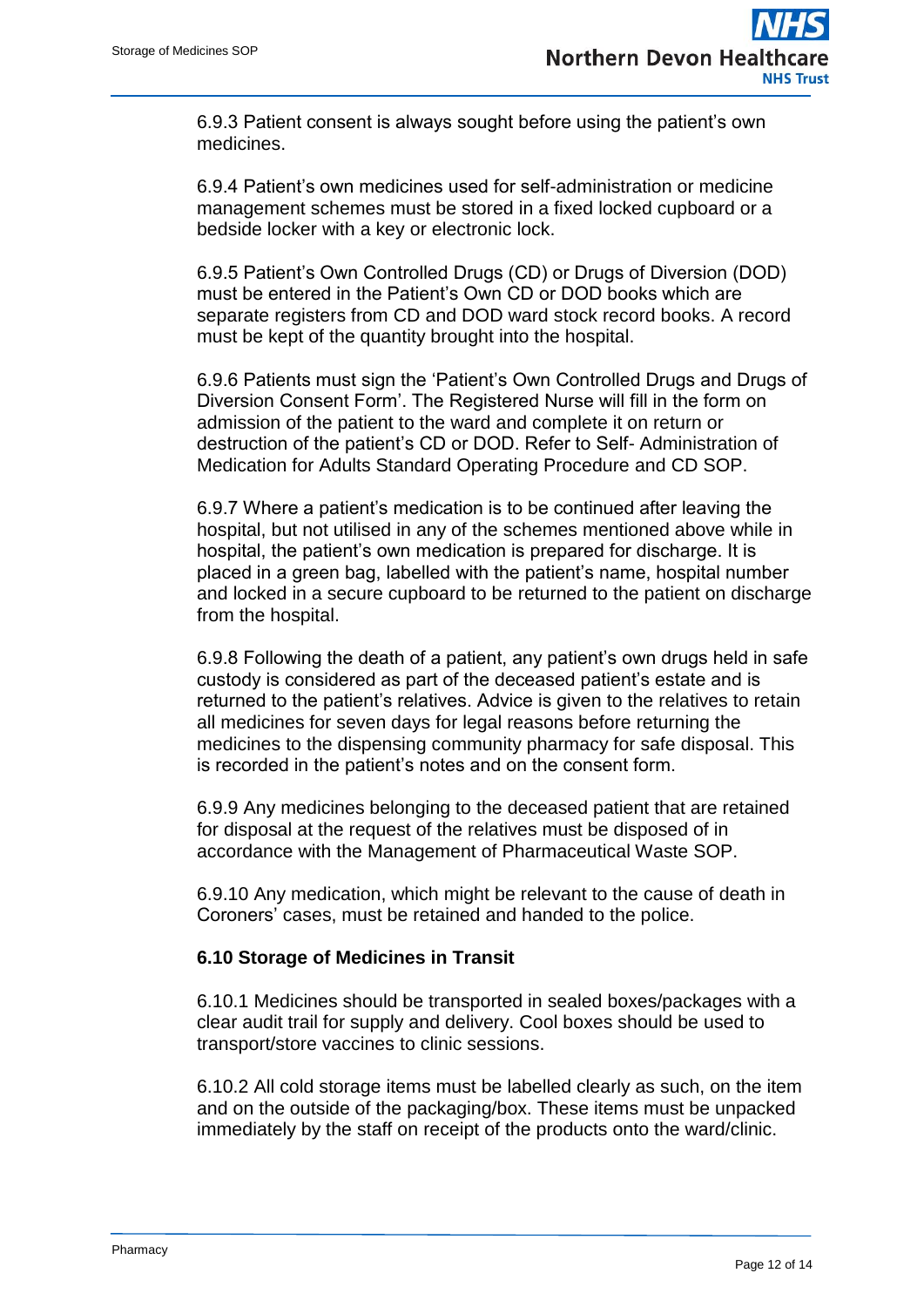6.9.3 Patient consent is always sought before using the patient's own medicines.

6.9.4 Patient's own medicines used for self-administration or medicine management schemes must be stored in a fixed locked cupboard or a bedside locker with a key or electronic lock.

6.9.5 Patient's Own Controlled Drugs (CD) or Drugs of Diversion (DOD) must be entered in the Patient's Own CD or DOD books which are separate registers from CD and DOD ward stock record books. A record must be kept of the quantity brought into the hospital.

6.9.6 Patients must sign the 'Patient's Own Controlled Drugs and Drugs of Diversion Consent Form'. The Registered Nurse will fill in the form on admission of the patient to the ward and complete it on return or destruction of the patient's CD or DOD. Refer to Self- Administration of Medication for Adults Standard Operating Procedure and CD SOP.

6.9.7 Where a patient's medication is to be continued after leaving the hospital, but not utilised in any of the schemes mentioned above while in hospital, the patient's own medication is prepared for discharge. It is placed in a green bag, labelled with the patient's name, hospital number and locked in a secure cupboard to be returned to the patient on discharge from the hospital.

6.9.8 Following the death of a patient, any patient's own drugs held in safe custody is considered as part of the deceased patient's estate and is returned to the patient's relatives. Advice is given to the relatives to retain all medicines for seven days for legal reasons before returning the medicines to the dispensing community pharmacy for safe disposal. This is recorded in the patient's notes and on the consent form.

6.9.9 Any medicines belonging to the deceased patient that are retained for disposal at the request of the relatives must be disposed of in accordance with the Management of Pharmaceutical Waste SOP.

6.9.10 Any medication, which might be relevant to the cause of death in Coroners' cases, must be retained and handed to the police.

#### **6.10 Storage of Medicines in Transit**

6.10.1 Medicines should be transported in sealed boxes/packages with a clear audit trail for supply and delivery. Cool boxes should be used to transport/store vaccines to clinic sessions.

6.10.2 All cold storage items must be labelled clearly as such, on the item and on the outside of the packaging/box. These items must be unpacked immediately by the staff on receipt of the products onto the ward/clinic.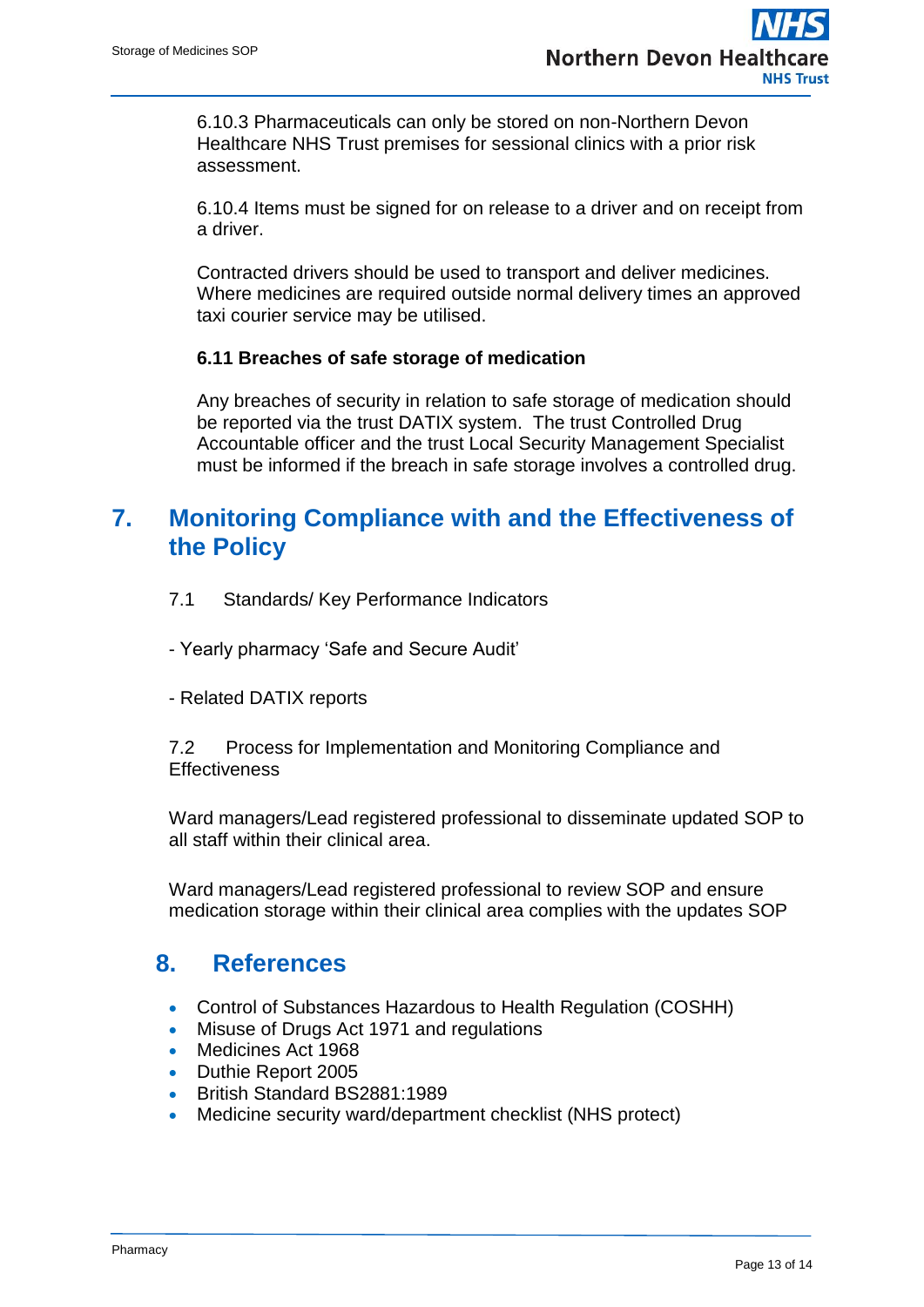6.10.3 Pharmaceuticals can only be stored on non-Northern Devon Healthcare NHS Trust premises for sessional clinics with a prior risk assessment.

6.10.4 Items must be signed for on release to a driver and on receipt from a driver.

Contracted drivers should be used to transport and deliver medicines. Where medicines are required outside normal delivery times an approved taxi courier service may be utilised.

#### **6.11 Breaches of safe storage of medication**

Any breaches of security in relation to safe storage of medication should be reported via the trust DATIX system. The trust Controlled Drug Accountable officer and the trust Local Security Management Specialist must be informed if the breach in safe storage involves a controlled drug.

## **7. Monitoring Compliance with and the Effectiveness of the Policy**

- 7.1 Standards/ Key Performance Indicators
- Yearly pharmacy 'Safe and Secure Audit'
- Related DATIX reports

7.2 Process for Implementation and Monitoring Compliance and **Effectiveness** 

Ward managers/Lead registered professional to disseminate updated SOP to all staff within their clinical area.

Ward managers/Lead registered professional to review SOP and ensure medication storage within their clinical area complies with the updates SOP

### **8. References**

- Control of Substances Hazardous to Health Regulation (COSHH)
- Misuse of Drugs Act 1971 and regulations
- Medicines Act 1968
- Duthie Report 2005
- British Standard BS2881:1989
- Medicine security ward/department checklist (NHS protect)